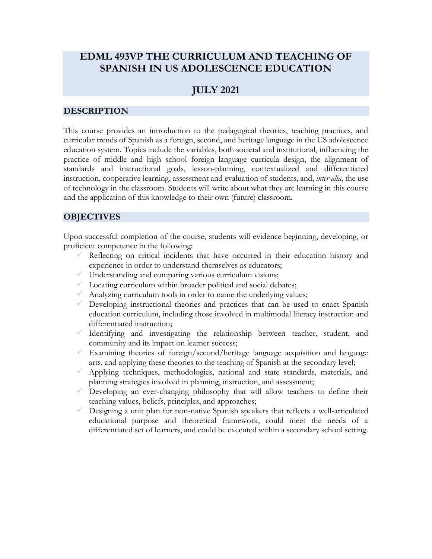## **EDML 493VP THE CURRICULUM AND TEACHING OF SPANISH IN US ADOLESCENCE EDUCATION**

# **JULY 2021**

## **DESCRIPTION**

This course provides an introduction to the pedagogical theories, teaching practices, and curricular trends of Spanish as a foreign, second, and heritage language in the US adolescence education system. Topics include the variables, both societal and institutional, influencing the practice of middle and high school foreign language curricula design, the alignment of standards and instructional goals, lesson-planning, contextualized and differentiated instruction, cooperative learning, assessment and evaluation of students, and, *inter alia*, the use of technology in the classroom. Students will write about what they are learning in this course and the application of this knowledge to their own (future) classroom.

### **OBJECTIVES**

Upon successful completion of the course, students will evidence beginning, developing, or proficient competence in the following:

- Reflecting on critical incidents that have occurred in their education history and experience in order to understand themselves as educators;
- $\checkmark$  Understanding and comparing various curriculum visions;
- $\checkmark$  Locating curriculum within broader political and social debates;
- $\checkmark$  Analyzing curriculum tools in order to name the underlying values;
- $\checkmark$  Developing instructional theories and practices that can be used to enact Spanish education curriculum, including those involved in multimodal literacy instruction and differentiated instruction;
- $\checkmark$  Identifying and investigating the relationship between teacher, student, and community and its impact on learner success;
- $\checkmark$  Examining theories of foreign/second/heritage language acquisition and language arts, and applying these theories to the teaching of Spanish at the secondary level;
- Applying techniques, methodologies, national and state standards, materials, and planning strategies involved in planning, instruction, and assessment;
- $\checkmark$  Developing an ever-changing philosophy that will allow teachers to define their teaching values, beliefs, principles, and approaches;
- $\checkmark$  Designing a unit plan for non-native Spanish speakers that reflects a well-articulated educational purpose and theoretical framework, could meet the needs of a differentiated set of learners, and could be executed within a secondary school setting.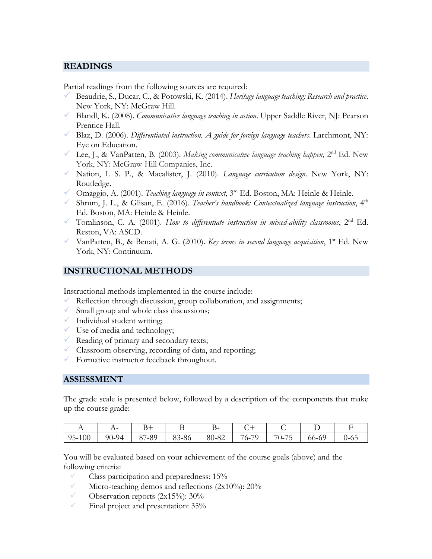## **READINGS**

Partial readings from the following sources are required:

- Beaudrie, S., Ducar, C., & Potowski, K. (2014). *Heritage language teaching: Research and practice*. New York, NY: McGraw Hill.
- Blandl, K. (2008). *Communicative language teaching in action*. Upper Saddle River, NJ: Pearson Prentice Hall.
- Blaz, D. (2006). *Differentiated instruction. A guide for foreign language teachers*. Larchmont, NY: Eye on Education.
- Lee, J., & VanPatten, B. (2003). *Making communicative language teaching happen,* 2 nd Ed. New York, NY: McGraw-Hill Companies, Inc.
- Nation, I. S. P., & Macalister, J. (2010). *Language curriculum design*. New York, NY: Routledge.
- Omaggio, A. (2001). *Teaching language in context*, 3rd Ed. Boston, MA: Heinle & Heinle.
- Shrum, J. L., & Glisan, E. (2016). *Teacher's handbook: Contextualized language instruction*, 4th Ed. Boston, MA: Heinle & Heinle.
- Tomlinson, C. A. (2001). *How to differentiate instruction in mixed-ability classrooms*, 2nd Ed. Reston, VA: ASCD.
- VanPatten, B., & Benati, A. G. (2010). *Key terms in second language acquisition*, 1<sup>st</sup> Ed. New York, NY: Continuum.

#### **INSTRUCTIONAL METHODS**

Instructional methods implemented in the course include:

- $\checkmark$  Reflection through discussion, group collaboration, and assignments;
- $\checkmark$  Small group and whole class discussions;
- $\checkmark$  Individual student writing;
- $\checkmark$  Use of media and technology;
- Reading of primary and secondary texts;
- Classroom observing, recording of data, and reporting;
- Formative instructor feedback throughout.

#### **ASSESSMENT**

The grade scale is presented below, followed by a description of the components that make up the course grade:

| <b>⊥ ⊥</b>       | $\cdot$ $-$<br>. . | ≖                       |            | $-1$  | ◡                                              |                    |       | -           |
|------------------|--------------------|-------------------------|------------|-------|------------------------------------------------|--------------------|-------|-------------|
| $-100$<br>$95-.$ | .04<br>$90-$       | $-89$<br>O <sub>7</sub> | 3-86<br>83 | 80-82 | 70<br>$\overline{\phantom{a}}$<br>$-0^{\circ}$ | $ -$<br>$70-$<br>ັ | 66-69 | - -<br>U-05 |

You will be evaluated based on your achievement of the course goals (above) and the following criteria:

- Class participation and preparedness: 15%
- $\checkmark$  Micro-teaching demos and reflections (2x10%): 20%
- Observation reports (2x15%): 30%
- Final project and presentation: 35%